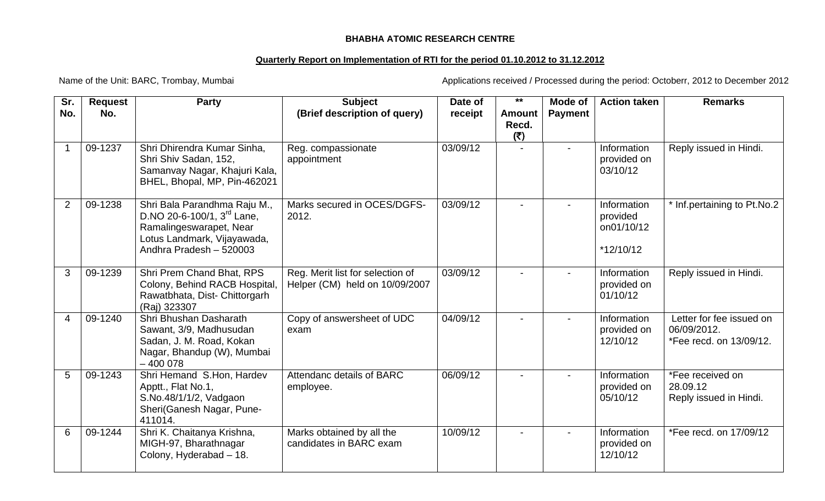## **BHABHA ATOMIC RESEARCH CENTRE**

## **Quarterly Report on Implementation of RTI for the period 01.10.2012 to 31.12.2012**

Name of the Unit: BARC, Trombay, Mumbai **Applications received / Processed during the period: Octoberr**, 2012 to December 2012

| Sr.            | <b>Request</b> | <b>Party</b>                                                                                                                                                | <b>Subject</b>                                                     | Date of  | $***$                         | Mode of                  | <b>Action taken</b>                                  | <b>Remarks</b>                                                     |
|----------------|----------------|-------------------------------------------------------------------------------------------------------------------------------------------------------------|--------------------------------------------------------------------|----------|-------------------------------|--------------------------|------------------------------------------------------|--------------------------------------------------------------------|
| No.            | No.            |                                                                                                                                                             | (Brief description of query)                                       | receipt  | <b>Amount</b><br>Recd.<br>(5) | <b>Payment</b>           |                                                      |                                                                    |
| -1             | 09-1237        | Shri Dhirendra Kumar Sinha,<br>Shri Shiv Sadan, 152,<br>Samanvay Nagar, Khajuri Kala,<br>BHEL, Bhopal, MP, Pin-462021                                       | Reg. compassionate<br>appointment                                  | 03/09/12 |                               | $\overline{\phantom{a}}$ | Information<br>provided on<br>03/10/12               | Reply issued in Hindi.                                             |
| $\overline{2}$ | 09-1238        | Shri Bala Parandhma Raju M.,<br>D.NO 20-6-100/1, 3 <sup>rd</sup> Lane,<br>Ramalingeswarapet, Near<br>Lotus Landmark, Vijayawada,<br>Andhra Pradesh - 520003 | Marks secured in OCES/DGFS-<br>2012.                               | 03/09/12 |                               |                          | Information<br>provided<br>on01/10/12<br>$*12/10/12$ | * Inf.pertaining to Pt.No.2                                        |
| 3              | 09-1239        | Shri Prem Chand Bhat, RPS<br>Colony, Behind RACB Hospital,<br>Rawatbhata, Dist-Chittorgarh<br>(Raj) 323307                                                  | Reg. Merit list for selection of<br>Helper (CM) held on 10/09/2007 | 03/09/12 |                               |                          | Information<br>provided on<br>01/10/12               | Reply issued in Hindi.                                             |
| 4              | 09-1240        | Shri Bhushan Dasharath<br>Sawant, 3/9, Madhusudan<br>Sadan, J. M. Road, Kokan<br>Nagar, Bhandup (W), Mumbai<br>$-400078$                                    | Copy of answersheet of UDC<br>exam                                 | 04/09/12 |                               | $\blacksquare$           | Information<br>provided on<br>12/10/12               | Letter for fee issued on<br>06/09/2012.<br>*Fee recd. on 13/09/12. |
| 5              | 09-1243        | Shri Hemand S.Hon, Hardev<br>Apptt., Flat No.1,<br>S.No.48/1/1/2, Vadgaon<br>Sheri(Ganesh Nagar, Pune-<br>411014.                                           | Attendanc details of BARC<br>employee.                             | 06/09/12 |                               | $\blacksquare$           | Information<br>provided on<br>05/10/12               | *Fee received on<br>28.09.12<br>Reply issued in Hindi.             |
| 6              | 09-1244        | Shri K. Chaitanya Krishna,<br>MIGH-97, Bharathnagar<br>Colony, Hyderabad - 18.                                                                              | Marks obtained by all the<br>candidates in BARC exam               | 10/09/12 |                               |                          | Information<br>provided on<br>12/10/12               | *Fee recd. on 17/09/12                                             |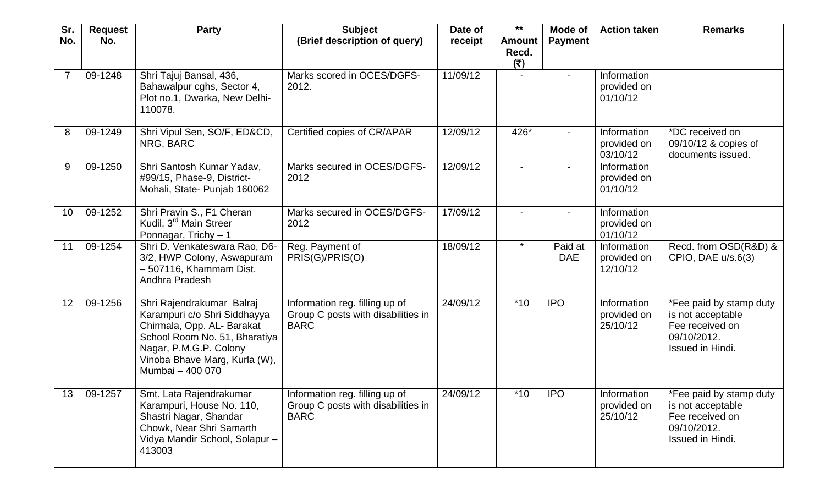| Sr.<br>No.     | <b>Request</b><br>No. | <b>Party</b>                                                                                                                                                                                            | <b>Subject</b><br>(Brief description of query)                                      | Date of<br>receipt | $***$<br><b>Amount</b>   | Mode of<br><b>Payment</b> | <b>Action taken</b>                    | <b>Remarks</b>                                                                                     |
|----------------|-----------------------|---------------------------------------------------------------------------------------------------------------------------------------------------------------------------------------------------------|-------------------------------------------------------------------------------------|--------------------|--------------------------|---------------------------|----------------------------------------|----------------------------------------------------------------------------------------------------|
|                |                       |                                                                                                                                                                                                         |                                                                                     |                    | Recd.<br>(₹)             |                           |                                        |                                                                                                    |
| $\overline{7}$ | 09-1248               | Shri Tajuj Bansal, 436,<br>Bahawalpur cghs, Sector 4,<br>Plot no.1, Dwarka, New Delhi-<br>110078.                                                                                                       | Marks scored in OCES/DGFS-<br>2012.                                                 | 11/09/12           |                          | $\overline{\phantom{a}}$  | Information<br>provided on<br>01/10/12 |                                                                                                    |
| 8              | 09-1249               | Shri Vipul Sen, SO/F, ED&CD,<br>NRG, BARC                                                                                                                                                               | Certified copies of CR/APAR                                                         | 12/09/12           | 426*                     |                           | Information<br>provided on<br>03/10/12 | *DC received on<br>09/10/12 & copies of<br>documents issued.                                       |
| 9              | 09-1250               | Shri Santosh Kumar Yadav,<br>#99/15, Phase-9, District-<br>Mohali, State- Punjab 160062                                                                                                                 | Marks secured in OCES/DGFS-<br>2012                                                 | 12/09/12           | $\overline{\phantom{0}}$ |                           | Information<br>provided on<br>01/10/12 |                                                                                                    |
| 10             | 09-1252               | Shri Pravin S., F1 Cheran<br>Kudil, 3 <sup>rd</sup> Main Streer<br>Ponnagar, Trichy $-1$                                                                                                                | Marks secured in OCES/DGFS-<br>2012                                                 | 17/09/12           | $\overline{\phantom{0}}$ |                           | Information<br>provided on<br>01/10/12 |                                                                                                    |
| 11             | 09-1254               | Shri D. Venkateswara Rao, D6-<br>3/2, HWP Colony, Aswapuram<br>- 507116, Khammam Dist.<br>Andhra Pradesh                                                                                                | Reg. Payment of<br>PRIS(G)/PRIS(O)                                                  | 18/09/12           | $\star$                  | Paid at<br><b>DAE</b>     | Information<br>provided on<br>12/10/12 | Recd. from OSD(R&D) &<br>CPIO, DAE $u/s.6(3)$                                                      |
| 12             | 09-1256               | Shri Rajendrakumar Balraj<br>Karampuri c/o Shri Siddhayya<br>Chirmala, Opp. AL- Barakat<br>School Room No. 51, Bharatiya<br>Nagar, P.M.G.P. Colony<br>Vinoba Bhave Marg, Kurla (W),<br>Mumbai - 400 070 | Information reg. filling up of<br>Group C posts with disabilities in<br><b>BARC</b> | 24/09/12           | $*10$                    | <b>IPO</b>                | Information<br>provided on<br>25/10/12 | *Fee paid by stamp duty<br>is not acceptable<br>Fee received on<br>09/10/2012.<br>Issued in Hindi. |
| 13             | 09-1257               | Smt. Lata Rajendrakumar<br>Karampuri, House No. 110,<br>Shastri Nagar, Shandar<br>Chowk, Near Shri Samarth<br>Vidya Mandir School, Solapur-<br>413003                                                   | Information reg. filling up of<br>Group C posts with disabilities in<br><b>BARC</b> | 24/09/12           | $*10$                    | <b>IPO</b>                | Information<br>provided on<br>25/10/12 | *Fee paid by stamp duty<br>is not acceptable<br>Fee received on<br>09/10/2012.<br>Issued in Hindi. |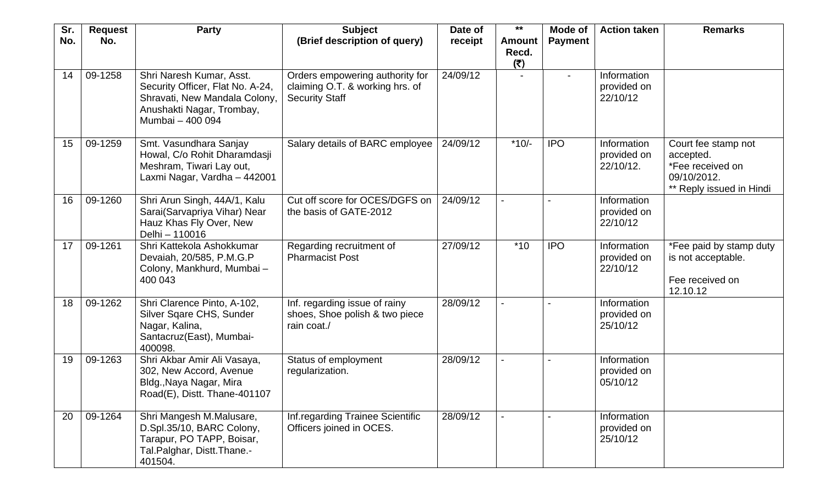| Sr.<br>No. | <b>Request</b><br>No. | <b>Party</b>                                                                                                                                   | <b>Subject</b><br>(Brief description of query)                                              | Date of<br>receipt | $***$<br><b>Amount</b> | Mode of<br><b>Payment</b> | <b>Action taken</b>                     | <b>Remarks</b>                                                                                  |
|------------|-----------------------|------------------------------------------------------------------------------------------------------------------------------------------------|---------------------------------------------------------------------------------------------|--------------------|------------------------|---------------------------|-----------------------------------------|-------------------------------------------------------------------------------------------------|
|            |                       |                                                                                                                                                |                                                                                             |                    | Recd.<br>(₹)           |                           |                                         |                                                                                                 |
| 14         | 09-1258               | Shri Naresh Kumar, Asst.<br>Security Officer, Flat No. A-24,<br>Shravati, New Mandala Colony,<br>Anushakti Nagar, Trombay,<br>Mumbai - 400 094 | Orders empowering authority for<br>claiming O.T. & working hrs. of<br><b>Security Staff</b> | 24/09/12           |                        | $\blacksquare$            | Information<br>provided on<br>22/10/12  |                                                                                                 |
| 15         | 09-1259               | Smt. Vasundhara Sanjay<br>Howal, C/o Rohit Dharamdasji<br>Meshram, Tiwari Lay out,<br>Laxmi Nagar, Vardha - 442001                             | Salary details of BARC employee                                                             | 24/09/12           | $*10/-$                | <b>IPO</b>                | Information<br>provided on<br>22/10/12. | Court fee stamp not<br>accepted.<br>*Fee received on<br>09/10/2012.<br>** Reply issued in Hindi |
| 16         | 09-1260               | Shri Arun Singh, 44A/1, Kalu<br>Sarai(Sarvapriya Vihar) Near<br>Hauz Khas Fly Over, New<br>Delhi - 110016                                      | Cut off score for OCES/DGFS on<br>the basis of GATE-2012                                    | 24/09/12           |                        |                           | Information<br>provided on<br>22/10/12  |                                                                                                 |
| 17         | 09-1261               | Shri Kattekola Ashokkumar<br>Devaiah, 20/585, P.M.G.P<br>Colony, Mankhurd, Mumbai-<br>400 043                                                  | Regarding recruitment of<br><b>Pharmacist Post</b>                                          | 27/09/12           | $*10$                  | <b>IPO</b>                | Information<br>provided on<br>22/10/12  | *Fee paid by stamp duty<br>is not acceptable.<br>Fee received on<br>12.10.12                    |
| 18         | 09-1262               | Shri Clarence Pinto, A-102,<br>Silver Sqare CHS, Sunder<br>Nagar, Kalina,<br>Santacruz(East), Mumbai-<br>400098.                               | Inf. regarding issue of rainy<br>shoes, Shoe polish & two piece<br>rain coat./              | 28/09/12           |                        |                           | Information<br>provided on<br>25/10/12  |                                                                                                 |
| 19         | 09-1263               | Shri Akbar Amir Ali Vasaya,<br>302, New Accord, Avenue<br>Bldg., Naya Nagar, Mira<br>Road(E), Distt. Thane-401107                              | Status of employment<br>regularization.                                                     | 28/09/12           |                        |                           | Information<br>provided on<br>05/10/12  |                                                                                                 |
| 20         | 09-1264               | Shri Mangesh M.Malusare,<br>D.Spl.35/10, BARC Colony,<br>Tarapur, PO TAPP, Boisar,<br>Tal.Palghar, Distt.Thane.-<br>401504.                    | Inf.regarding Trainee Scientific<br>Officers joined in OCES.                                | 28/09/12           |                        |                           | Information<br>provided on<br>25/10/12  |                                                                                                 |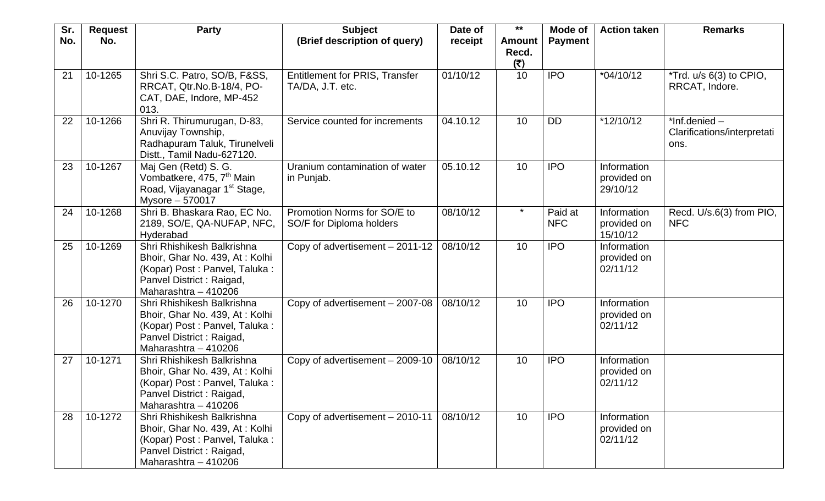| Sr.<br>No. | <b>Request</b><br>No. | <b>Party</b>                                                                                                                                       | <b>Subject</b><br>(Brief description of query)            | Date of<br>receipt | $***$<br><b>Amount</b> | Mode of<br><b>Payment</b> | <b>Action taken</b>                    | <b>Remarks</b>                                            |
|------------|-----------------------|----------------------------------------------------------------------------------------------------------------------------------------------------|-----------------------------------------------------------|--------------------|------------------------|---------------------------|----------------------------------------|-----------------------------------------------------------|
|            |                       |                                                                                                                                                    |                                                           |                    | Recd.<br>(5)           |                           |                                        |                                                           |
| 21         | 10-1265               | Shri S.C. Patro, SO/B, F&SS,<br>RRCAT, Qtr.No.B-18/4, PO-<br>CAT, DAE, Indore, MP-452<br>013.                                                      | <b>Entitlement for PRIS, Transfer</b><br>TA/DA, J.T. etc. | 01/10/12           | 10                     | <b>IPO</b>                | $*04/10/12$                            | *Trd. u/s 6(3) to CPIO,<br>RRCAT, Indore.                 |
| 22         | 10-1266               | Shri R. Thirumurugan, D-83,<br>Anuvijay Township,<br>Radhapuram Taluk, Tirunelveli<br>Distt., Tamil Nadu-627120.                                   | Service counted for increments                            | 04.10.12           | 10                     | <b>DD</b>                 | $*12/10/12$                            | $*$ Inf.denied $-$<br>Clarifications/interpretati<br>ons. |
| 23         | 10-1267               | Maj Gen (Retd) S. G.<br>Vombatkere, 475, 7 <sup>th</sup> Main<br>Road, Vijayanagar 1 <sup>st</sup> Stage,<br>Mysore - 570017                       | Uranium contamination of water<br>in Punjab.              | 05.10.12           | 10                     | <b>IPO</b>                | Information<br>provided on<br>29/10/12 |                                                           |
| 24         | 10-1268               | Shri B. Bhaskara Rao, EC No.<br>2189, SO/E, QA-NUFAP, NFC,<br>Hyderabad                                                                            | Promotion Norms for SO/E to<br>SO/F for Diploma holders   | 08/10/12           | $\star$                | Paid at<br><b>NFC</b>     | Information<br>provided on<br>15/10/12 | Recd. U/s.6(3) from PIO,<br><b>NFC</b>                    |
| 25         | 10-1269               | Shri Rhishikesh Balkrishna<br>Bhoir, Ghar No. 439, At: Kolhi<br>(Kopar) Post: Panvel, Taluka:<br>Panvel District: Raigad,<br>Maharashtra - 410206  | Copy of advertisement - 2011-12                           | 08/10/12           | 10                     | <b>IPO</b>                | Information<br>provided on<br>02/11/12 |                                                           |
| 26         | 10-1270               | Shri Rhishikesh Balkrishna<br>Bhoir, Ghar No. 439, At: Kolhi<br>(Kopar) Post: Panvel, Taluka:<br>Panvel District : Raigad,<br>Maharashtra - 410206 | Copy of advertisement - 2007-08                           | 08/10/12           | 10                     | <b>IPO</b>                | Information<br>provided on<br>02/11/12 |                                                           |
| 27         | 10-1271               | Shri Rhishikesh Balkrishna<br>Bhoir, Ghar No. 439, At: Kolhi<br>(Kopar) Post: Panvel, Taluka:<br>Panvel District: Raigad,<br>Maharashtra - 410206  | Copy of advertisement - 2009-10                           | 08/10/12           | 10                     | <b>IPO</b>                | Information<br>provided on<br>02/11/12 |                                                           |
| 28         | 10-1272               | Shri Rhishikesh Balkrishna<br>Bhoir, Ghar No. 439, At: Kolhi<br>(Kopar) Post: Panvel, Taluka:<br>Panvel District: Raigad,<br>Maharashtra - 410206  | Copy of advertisement - 2010-11                           | 08/10/12           | 10 <sup>°</sup>        | <b>IPO</b>                | Information<br>provided on<br>02/11/12 |                                                           |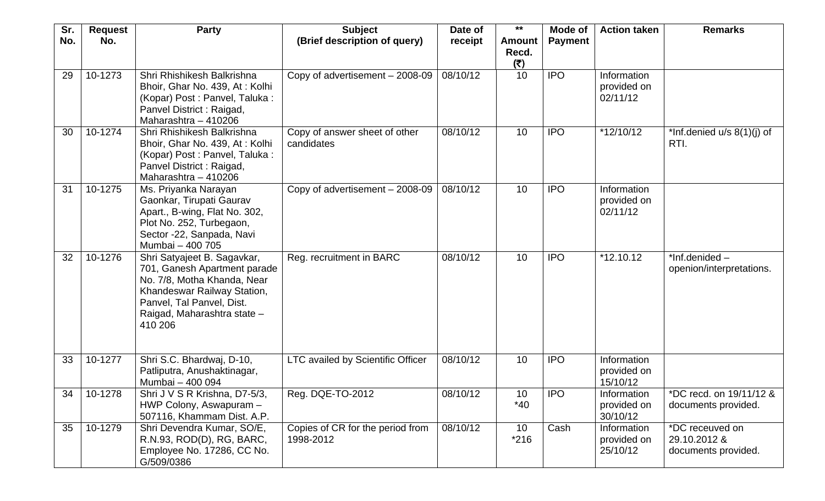| Sr. | <b>Request</b> | <b>Party</b>                                                                                                                                                                                     | <b>Subject</b>                                | Date of  | $***$                         | Mode of        | <b>Action taken</b>                    | <b>Remarks</b>                                         |
|-----|----------------|--------------------------------------------------------------------------------------------------------------------------------------------------------------------------------------------------|-----------------------------------------------|----------|-------------------------------|----------------|----------------------------------------|--------------------------------------------------------|
| No. | No.            |                                                                                                                                                                                                  | (Brief description of query)                  | receipt  | <b>Amount</b><br>Recd.<br>(₹) | <b>Payment</b> |                                        |                                                        |
| 29  | 10-1273        | Shri Rhishikesh Balkrishna<br>Bhoir, Ghar No. 439, At: Kolhi<br>(Kopar) Post: Panvel, Taluka:<br>Panvel District: Raigad,<br>Maharashtra - 410206                                                | Copy of advertisement - 2008-09               | 08/10/12 | 10                            | <b>IPO</b>     | Information<br>provided on<br>02/11/12 |                                                        |
| 30  | 10-1274        | Shri Rhishikesh Balkrishna<br>Bhoir, Ghar No. 439, At: Kolhi<br>(Kopar) Post: Panvel, Taluka:<br>Panvel District: Raigad,<br>Maharashtra - 410206                                                | Copy of answer sheet of other<br>candidates   | 08/10/12 | 10                            | <b>IPO</b>     | $*12/10/12$                            | *Inf.denied $u/s$ 8(1)(j) of<br>RTI.                   |
| 31  | 10-1275        | Ms. Priyanka Narayan<br>Gaonkar, Tirupati Gaurav<br>Apart., B-wing, Flat No. 302,<br>Plot No. 252, Turbegaon,<br>Sector -22, Sanpada, Navi<br>Mumbai - 400 705                                   | Copy of advertisement - 2008-09               | 08/10/12 | 10                            | <b>IPO</b>     | Information<br>provided on<br>02/11/12 |                                                        |
| 32  | 10-1276        | Shri Satyajeet B. Sagavkar,<br>701, Ganesh Apartment parade<br>No. 7/8, Motha Khanda, Near<br>Khandeswar Railway Station,<br>Panvel, Tal Panvel, Dist.<br>Raigad, Maharashtra state -<br>410 206 | Reg. recruitment in BARC                      | 08/10/12 | 10                            | <b>IPO</b>     | $*12.10.12$                            | $*$ Inf.denided –<br>openion/interpretations.          |
| 33  | 10-1277        | Shri S.C. Bhardwaj, D-10,<br>Patliputra, Anushaktinagar,<br>Mumbai - 400 094                                                                                                                     | LTC availed by Scientific Officer             | 08/10/12 | 10                            | <b>IPO</b>     | Information<br>provided on<br>15/10/12 |                                                        |
| 34  | 10-1278        | Shri J V S R Krishna, D7-5/3,<br>HWP Colony, Aswapuram -<br>507116, Khammam Dist. A.P.                                                                                                           | Reg. DQE-TO-2012                              | 08/10/12 | 10<br>$*40$                   | <b>IPO</b>     | Information<br>provided on<br>30/10/12 | *DC recd. on 19/11/12 &<br>documents provided.         |
| 35  | 10-1279        | Shri Devendra Kumar, SO/E,<br>R.N.93, ROD(D), RG, BARC,<br>Employee No. 17286, CC No.<br>G/509/0386                                                                                              | Copies of CR for the period from<br>1998-2012 | 08/10/12 | 10<br>$*216$                  | Cash           | Information<br>provided on<br>25/10/12 | *DC receuved on<br>29.10.2012 &<br>documents provided. |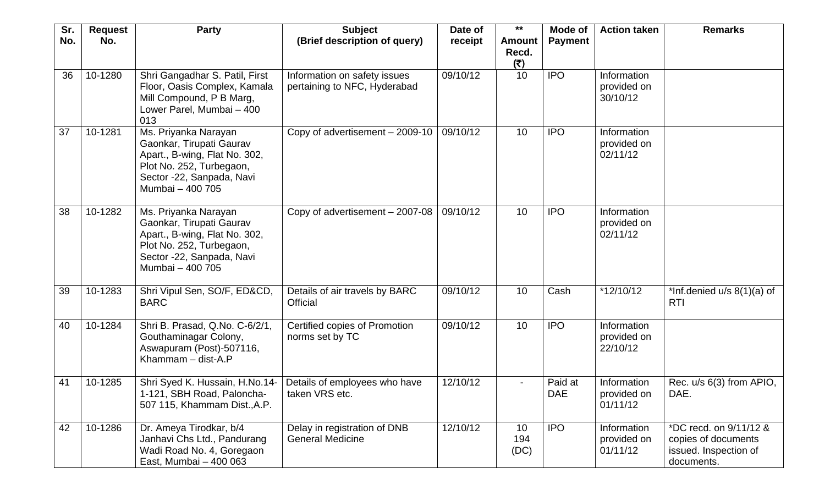| Sr. | <b>Request</b> | <b>Party</b>                                                                                                                                                   | <b>Subject</b>                                               | Date of  | $***$                         | Mode of               | <b>Action taken</b>                    | <b>Remarks</b>                                                                       |
|-----|----------------|----------------------------------------------------------------------------------------------------------------------------------------------------------------|--------------------------------------------------------------|----------|-------------------------------|-----------------------|----------------------------------------|--------------------------------------------------------------------------------------|
| No. | No.            |                                                                                                                                                                | (Brief description of query)                                 | receipt  | <b>Amount</b><br>Recd.<br>(₹) | <b>Payment</b>        |                                        |                                                                                      |
| 36  | 10-1280        | Shri Gangadhar S. Patil, First<br>Floor, Oasis Complex, Kamala<br>Mill Compound, P B Marg,<br>Lower Parel, Mumbai - 400<br>013                                 | Information on safety issues<br>pertaining to NFC, Hyderabad | 09/10/12 | 10                            | <b>IPO</b>            | Information<br>provided on<br>30/10/12 |                                                                                      |
| 37  | 10-1281        | Ms. Priyanka Narayan<br>Gaonkar, Tirupati Gaurav<br>Apart., B-wing, Flat No. 302,<br>Plot No. 252, Turbegaon,<br>Sector -22, Sanpada, Navi<br>Mumbai - 400 705 | Copy of advertisement - 2009-10                              | 09/10/12 | 10                            | <b>IPO</b>            | Information<br>provided on<br>02/11/12 |                                                                                      |
| 38  | 10-1282        | Ms. Priyanka Narayan<br>Gaonkar, Tirupati Gaurav<br>Apart., B-wing, Flat No. 302,<br>Plot No. 252, Turbegaon,<br>Sector -22, Sanpada, Navi<br>Mumbai - 400 705 | Copy of advertisement - 2007-08                              | 09/10/12 | 10                            | <b>IPO</b>            | Information<br>provided on<br>02/11/12 |                                                                                      |
| 39  | 10-1283        | Shri Vipul Sen, SO/F, ED&CD,<br><b>BARC</b>                                                                                                                    | Details of air travels by BARC<br><b>Official</b>            | 09/10/12 | 10                            | Cash                  | $*12/10/12$                            | *Inf.denied $u/s$ 8(1)(a) of<br><b>RTI</b>                                           |
| 40  | 10-1284        | Shri B. Prasad, Q.No. C-6/2/1,<br>Gouthaminagar Colony,<br>Aswapuram (Post)-507116,<br>Khammam - dist-A.P                                                      | Certified copies of Promotion<br>norms set by TC             | 09/10/12 | 10                            | <b>IPO</b>            | Information<br>provided on<br>22/10/12 |                                                                                      |
| 41  | 10-1285        | Shri Syed K. Hussain, H.No.14-<br>1-121, SBH Road, Paloncha-<br>507 115, Khammam Dist., A.P.                                                                   | Details of employees who have<br>taken VRS etc.              | 12/10/12 | $\overline{\phantom{0}}$      | Paid at<br><b>DAE</b> | Information<br>provided on<br>01/11/12 | Rec. u/s 6(3) from APIO,<br>DAE.                                                     |
| 42  | 10-1286        | Dr. Ameya Tirodkar, b/4<br>Janhavi Chs Ltd., Pandurang<br>Wadi Road No. 4, Goregaon<br>East, Mumbai - 400 063                                                  | Delay in registration of DNB<br><b>General Medicine</b>      | 12/10/12 | 10<br>194<br>(DC)             | <b>IPO</b>            | Information<br>provided on<br>01/11/12 | *DC recd. on 9/11/12 &<br>copies of documents<br>issued. Inspection of<br>documents. |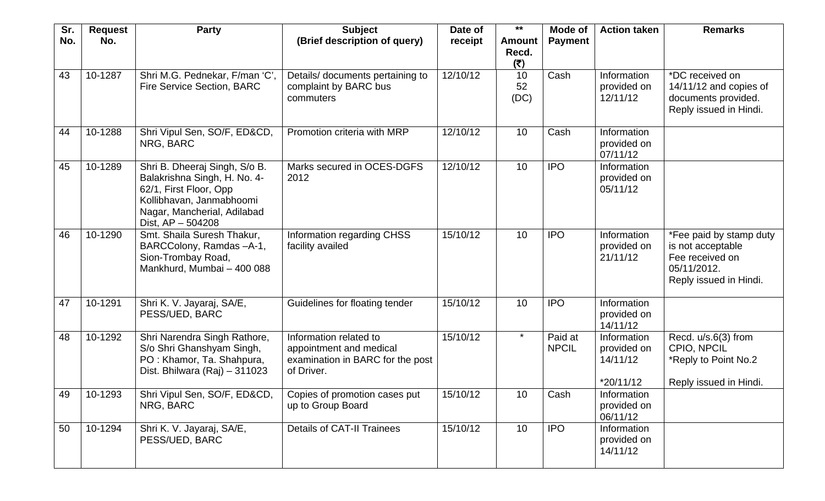| Sr.<br>No. | <b>Request</b><br>No. | <b>Party</b>                                                                                                                                                              | <b>Subject</b><br>(Brief description of query)                                                      | Date of<br>receipt | $***$<br><b>Amount</b><br>Recd. | Mode of<br><b>Payment</b> | <b>Action taken</b>                                 | <b>Remarks</b>                                                                                           |
|------------|-----------------------|---------------------------------------------------------------------------------------------------------------------------------------------------------------------------|-----------------------------------------------------------------------------------------------------|--------------------|---------------------------------|---------------------------|-----------------------------------------------------|----------------------------------------------------------------------------------------------------------|
| 43         | 10-1287               | Shri M.G. Pednekar, F/man 'C',<br><b>Fire Service Section, BARC</b>                                                                                                       | Details/ documents pertaining to<br>complaint by BARC bus<br>commuters                              | 12/10/12           | (₹)<br>10<br>52<br>(DC)         | Cash                      | Information<br>provided on<br>12/11/12              | *DC received on<br>14/11/12 and copies of<br>documents provided.<br>Reply issued in Hindi.               |
| 44         | 10-1288               | Shri Vipul Sen, SO/F, ED&CD,<br>NRG, BARC                                                                                                                                 | Promotion criteria with MRP                                                                         | 12/10/12           | 10                              | Cash                      | Information<br>provided on<br>07/11/12              |                                                                                                          |
| 45         | 10-1289               | Shri B. Dheeraj Singh, S/o B.<br>Balakrishna Singh, H. No. 4-<br>62/1, First Floor, Opp<br>Kollibhavan, Janmabhoomi<br>Nagar, Mancherial, Adilabad<br>Dist, $AP - 504208$ | Marks secured in OCES-DGFS<br>2012                                                                  | 12/10/12           | 10                              | <b>IPO</b>                | Information<br>provided on<br>05/11/12              |                                                                                                          |
| 46         | 10-1290               | Smt. Shaila Suresh Thakur,<br>BARCColony, Ramdas -A-1,<br>Sion-Trombay Road,<br>Mankhurd, Mumbai - 400 088                                                                | Information regarding CHSS<br>facility availed                                                      | 15/10/12           | 10                              | <b>IPO</b>                | Information<br>provided on<br>21/11/12              | *Fee paid by stamp duty<br>is not acceptable<br>Fee received on<br>05/11/2012.<br>Reply issued in Hindi. |
| 47         | 10-1291               | Shri K. V. Jayaraj, SA/E,<br>PESS/UED, BARC                                                                                                                               | Guidelines for floating tender                                                                      | 15/10/12           | 10                              | <b>IPO</b>                | Information<br>provided on<br>14/11/12              |                                                                                                          |
| 48         | 10-1292               | Shri Narendra Singh Rathore,<br>S/o Shri Ghanshyam Singh,<br>PO: Khamor, Ta. Shahpura,<br>Dist. Bhilwara (Raj) - 311023                                                   | Information related to<br>appointment and medical<br>examination in BARC for the post<br>of Driver. | 15/10/12           | $\star$                         | Paid at<br><b>NPCIL</b>   | Information<br>provided on<br>14/11/12<br>*20/11/12 | Recd. u/s.6(3) from<br>CPIO, NPCIL<br>*Reply to Point No.2<br>Reply issued in Hindi.                     |
| 49         | 10-1293               | Shri Vipul Sen, SO/F, ED&CD,<br>NRG, BARC                                                                                                                                 | Copies of promotion cases put<br>up to Group Board                                                  | 15/10/12           | 10                              | Cash                      | Information<br>provided on<br>06/11/12              |                                                                                                          |
| 50         | 10-1294               | Shri K. V. Jayaraj, SA/E,<br>PESS/UED, BARC                                                                                                                               | <b>Details of CAT-II Trainees</b>                                                                   | 15/10/12           | 10                              | <b>IPO</b>                | Information<br>provided on<br>14/11/12              |                                                                                                          |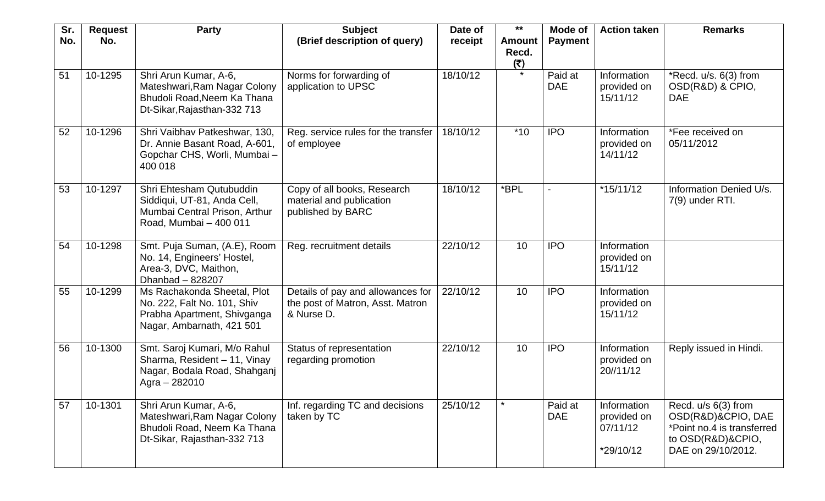| Sr. | <b>Request</b> | <b>Party</b>                                                                                                           | <b>Subject</b>                                                                      | Date of  | $***$                         | Mode of               | <b>Action taken</b>                                 | <b>Remarks</b>                                                                                                     |
|-----|----------------|------------------------------------------------------------------------------------------------------------------------|-------------------------------------------------------------------------------------|----------|-------------------------------|-----------------------|-----------------------------------------------------|--------------------------------------------------------------------------------------------------------------------|
| No. | No.            |                                                                                                                        | (Brief description of query)                                                        | receipt  | <b>Amount</b><br>Recd.<br>(₹) | <b>Payment</b>        |                                                     |                                                                                                                    |
| 51  | 10-1295        | Shri Arun Kumar, A-6,<br>Mateshwari, Ram Nagar Colony<br>Bhudoli Road, Neem Ka Thana<br>Dt-Sikar, Rajasthan-332 713    | Norms for forwarding of<br>application to UPSC                                      | 18/10/12 | $\star$                       | Paid at<br><b>DAE</b> | Information<br>provided on<br>15/11/12              | *Recd. u/s. 6(3) from<br>OSD(R&D) & CPIO,<br><b>DAE</b>                                                            |
| 52  | 10-1296        | Shri Vaibhav Patkeshwar, 130,<br>Dr. Annie Basant Road, A-601,<br>Gopchar CHS, Worli, Mumbai-<br>400 018               | Reg. service rules for the transfer<br>of employee                                  | 18/10/12 | $*10$                         | <b>IPO</b>            | Information<br>provided on<br>14/11/12              | *Fee received on<br>05/11/2012                                                                                     |
| 53  | 10-1297        | Shri Ehtesham Qutubuddin<br>Siddiqui, UT-81, Anda Cell,<br>Mumbai Central Prison, Arthur<br>Road, Mumbai - 400 011     | Copy of all books, Research<br>material and publication<br>published by BARC        | 18/10/12 | *BPL                          |                       | $*15/11/12$                                         | Information Denied U/s.<br>7(9) under RTI.                                                                         |
| 54  | 10-1298        | Smt. Puja Suman, (A.E), Room<br>No. 14, Engineers' Hostel,<br>Area-3, DVC, Maithon,<br>Dhanbad - 828207                | Reg. recruitment details                                                            | 22/10/12 | 10                            | <b>IPO</b>            | Information<br>provided on<br>15/11/12              |                                                                                                                    |
| 55  | 10-1299        | Ms Rachakonda Sheetal, Plot<br>No. 222, Falt No. 101, Shiv<br>Prabha Apartment, Shivganga<br>Nagar, Ambarnath, 421 501 | Details of pay and allowances for<br>the post of Matron, Asst. Matron<br>& Nurse D. | 22/10/12 | 10                            | <b>IPO</b>            | Information<br>provided on<br>15/11/12              |                                                                                                                    |
| 56  | 10-1300        | Smt. Saroj Kumari, M/o Rahul<br>Sharma, Resident - 11, Vinay<br>Nagar, Bodala Road, Shahganj<br>Agra - 282010          | Status of representation<br>regarding promotion                                     | 22/10/12 | 10                            | <b>IPO</b>            | Information<br>provided on<br>20//11/12             | Reply issued in Hindi.                                                                                             |
| 57  | 10-1301        | Shri Arun Kumar, A-6,<br>Mateshwari, Ram Nagar Colony<br>Bhudoli Road, Neem Ka Thana<br>Dt-Sikar, Rajasthan-332 713    | Inf. regarding TC and decisions<br>taken by TC                                      | 25/10/12 |                               | Paid at<br><b>DAE</b> | Information<br>provided on<br>07/11/12<br>*29/10/12 | Recd. u/s 6(3) from<br>OSD(R&D)&CPIO, DAE<br>*Point no.4 is transferred<br>to OSD(R&D)&CPIO,<br>DAE on 29/10/2012. |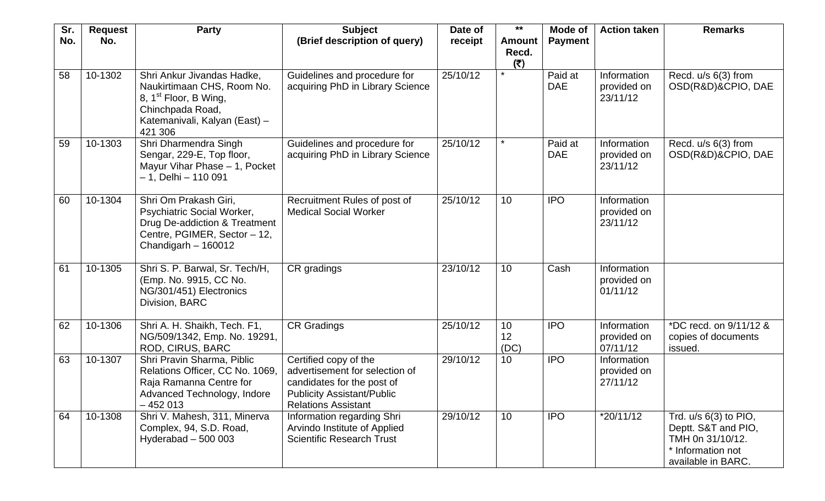| Sr. | <b>Request</b> | <b>Party</b>                                                                                                                                                  | <b>Subject</b>                                                                                                                                           | Date of  | $***$                         | Mode of               | <b>Action taken</b>                    | <b>Remarks</b>                                                                                                |
|-----|----------------|---------------------------------------------------------------------------------------------------------------------------------------------------------------|----------------------------------------------------------------------------------------------------------------------------------------------------------|----------|-------------------------------|-----------------------|----------------------------------------|---------------------------------------------------------------------------------------------------------------|
| No. | No.            |                                                                                                                                                               | (Brief description of query)                                                                                                                             | receipt  | <b>Amount</b><br>Recd.<br>(₹) | <b>Payment</b>        |                                        |                                                                                                               |
| 58  | 10-1302        | Shri Ankur Jivandas Hadke,<br>Naukirtimaan CHS, Room No.<br>8, 1 <sup>st</sup> Floor, B Wing,<br>Chinchpada Road,<br>Katemanivali, Kalyan (East) -<br>421 306 | Guidelines and procedure for<br>acquiring PhD in Library Science                                                                                         | 25/10/12 | $\star$                       | Paid at<br><b>DAE</b> | Information<br>provided on<br>23/11/12 | Recd. u/s 6(3) from<br>OSD(R&D)&CPIO, DAE                                                                     |
| 59  | 10-1303        | Shri Dharmendra Singh<br>Sengar, 229-E, Top floor,<br>Mayur Vihar Phase - 1, Pocket<br>- 1, Delhi - 110 091                                                   | Guidelines and procedure for<br>acquiring PhD in Library Science                                                                                         | 25/10/12 | $\star$                       | Paid at<br><b>DAE</b> | Information<br>provided on<br>23/11/12 | Recd. u/s 6(3) from<br>OSD(R&D)&CPIO, DAE                                                                     |
| 60  | 10-1304        | Shri Om Prakash Giri,<br><b>Psychiatric Social Worker,</b><br>Drug De-addiction & Treatment<br>Centre, PGIMER, Sector - 12,<br>Chandigarh $-160012$           | Recruitment Rules of post of<br><b>Medical Social Worker</b>                                                                                             | 25/10/12 | 10                            | <b>IPO</b>            | Information<br>provided on<br>23/11/12 |                                                                                                               |
| 61  | 10-1305        | Shri S. P. Barwal, Sr. Tech/H,<br>(Emp. No. 9915, CC No.<br>NG/301/451) Electronics<br>Division, BARC                                                         | CR gradings                                                                                                                                              | 23/10/12 | 10                            | Cash                  | Information<br>provided on<br>01/11/12 |                                                                                                               |
| 62  | 10-1306        | Shri A. H. Shaikh, Tech. F1,<br>NG/509/1342, Emp. No. 19291,<br>ROD, CIRUS, BARC                                                                              | <b>CR Gradings</b>                                                                                                                                       | 25/10/12 | 10<br>12<br>(DC)              | <b>IPO</b>            | Information<br>provided on<br>07/11/12 | *DC recd. on 9/11/12 &<br>copies of documents<br>issued.                                                      |
| 63  | 10-1307        | Shri Pravin Sharma, Piblic<br>Relations Officer, CC No. 1069,<br>Raja Ramanna Centre for<br>Advanced Technology, Indore<br>$-452013$                          | Certified copy of the<br>advertisement for selection of<br>candidates for the post of<br><b>Publicity Assistant/Public</b><br><b>Relations Assistant</b> | 29/10/12 | 10 <sup>°</sup>               | <b>IPO</b>            | Information<br>provided on<br>27/11/12 |                                                                                                               |
| 64  | 10-1308        | Shri V. Mahesh, 311, Minerva<br>Complex, 94, S.D. Road,<br>Hyderabad $-500003$                                                                                | Information regarding Shri<br>Arvindo Institute of Applied<br><b>Scientific Research Trust</b>                                                           | 29/10/12 | 10                            | <b>IPO</b>            | $*20/11/12$                            | Trd. $u/s$ 6(3) to PIO,<br>Deptt. S&T and PIO,<br>TMH 0n 31/10/12.<br>* Information not<br>available in BARC. |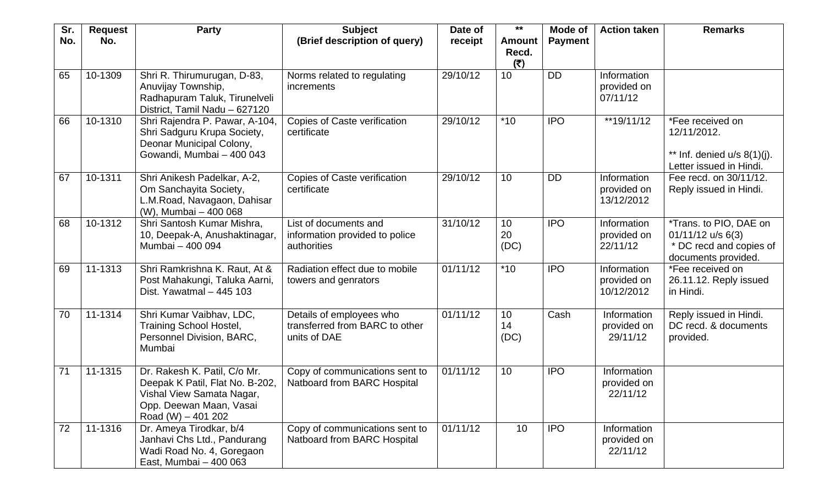| Sr. | <b>Request</b> | <b>Party</b>                                                                                                                                  | <b>Subject</b>                                                             | Date of  | $***$                         | Mode of        | <b>Action taken</b>                      | <b>Remarks</b>                                                                                  |
|-----|----------------|-----------------------------------------------------------------------------------------------------------------------------------------------|----------------------------------------------------------------------------|----------|-------------------------------|----------------|------------------------------------------|-------------------------------------------------------------------------------------------------|
| No. | No.            |                                                                                                                                               | (Brief description of query)                                               | receipt  | <b>Amount</b><br>Recd.<br>(5) | <b>Payment</b> |                                          |                                                                                                 |
| 65  | 10-1309        | Shri R. Thirumurugan, D-83,<br>Anuvijay Township,<br>Radhapuram Taluk, Tirunelveli<br>District, Tamil Nadu - 627120                           | Norms related to regulating<br>increments                                  | 29/10/12 | 10                            | <b>DD</b>      | Information<br>provided on<br>07/11/12   |                                                                                                 |
| 66  | 10-1310        | Shri Rajendra P. Pawar, A-104,<br>Shri Sadguru Krupa Society,<br>Deonar Municipal Colony,<br>Gowandi, Mumbai - 400 043                        | Copies of Caste verification<br>certificate                                | 29/10/12 | $*10$                         | <b>IPO</b>     | **19/11/12                               | *Fee received on<br>12/11/2012.<br>** Inf. denied $u/s$ 8(1)(j).<br>Letter issued in Hindi.     |
| 67  | 10-1311        | Shri Anikesh Padelkar, A-2,<br>Om Sanchayita Society,<br>L.M.Road, Navagaon, Dahisar<br>(W), Mumbai - 400 068                                 | Copies of Caste verification<br>certificate                                | 29/10/12 | 10                            | <b>DD</b>      | Information<br>provided on<br>13/12/2012 | Fee recd. on 30/11/12.<br>Reply issued in Hindi.                                                |
| 68  | 10-1312        | Shri Santosh Kumar Mishra,<br>10, Deepak-A, Anushaktinagar,<br>Mumbai - 400 094                                                               | List of documents and<br>information provided to police<br>authorities     | 31/10/12 | 10<br>20<br>(DC)              | <b>IPO</b>     | Information<br>provided on<br>22/11/12   | *Trans. to PIO, DAE on<br>$01/11/12$ u/s 6(3)<br>* DC recd and copies of<br>documents provided. |
| 69  | 11-1313        | Shri Ramkrishna K. Raut, At &<br>Post Mahakungi, Taluka Aarni,<br>Dist. Yawatmal - 445 103                                                    | Radiation effect due to mobile<br>towers and genrators                     | 01/11/12 | $*10$                         | <b>IPO</b>     | Information<br>provided on<br>10/12/2012 | *Fee received on<br>26.11.12. Reply issued<br>in Hindi.                                         |
| 70  | 11-1314        | Shri Kumar Vaibhav, LDC,<br><b>Training School Hostel,</b><br>Personnel Division, BARC,<br>Mumbai                                             | Details of employees who<br>transferred from BARC to other<br>units of DAE | 01/11/12 | 10<br>14<br>(DC)              | Cash           | Information<br>provided on<br>29/11/12   | Reply issued in Hindi.<br>DC recd. & documents<br>provided.                                     |
| 71  | 11-1315        | Dr. Rakesh K. Patil, C/o Mr.<br>Deepak K Patil, Flat No. B-202,<br>Vishal View Samata Nagar,<br>Opp. Deewan Maan, Vasai<br>Road (W) $-401202$ | Copy of communications sent to<br>Natboard from BARC Hospital              | 01/11/12 | 10                            | <b>IPO</b>     | Information<br>provided on<br>22/11/12   |                                                                                                 |
| 72  | 11-1316        | Dr. Ameya Tirodkar, b/4<br>Janhavi Chs Ltd., Pandurang<br>Wadi Road No. 4, Goregaon<br>East, Mumbai - 400 063                                 | Copy of communications sent to<br>Natboard from BARC Hospital              | 01/11/12 | 10                            | <b>IPO</b>     | Information<br>provided on<br>22/11/12   |                                                                                                 |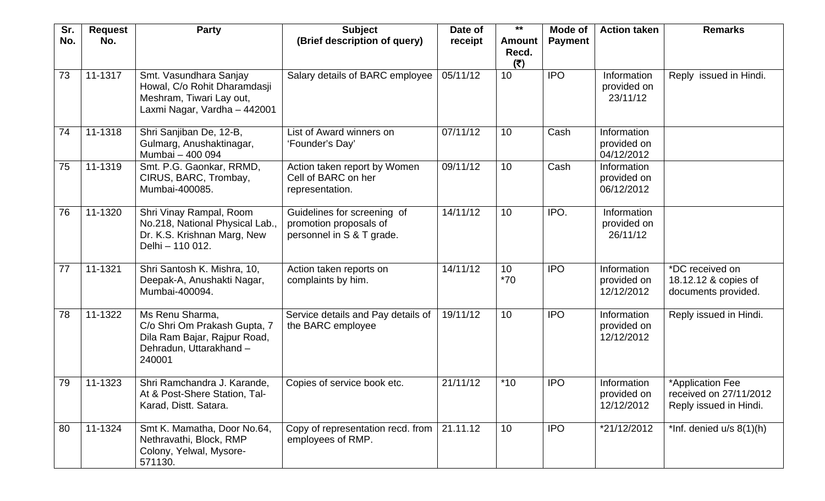| Sr.<br>No. | <b>Request</b><br>No.  | <b>Party</b>                                                                                                         | <b>Subject</b><br>(Brief description of query)                                     | Date of<br>receipt | $***$<br><b>Amount</b> | Mode of<br><b>Payment</b> | <b>Action taken</b>                      | <b>Remarks</b>                                                       |
|------------|------------------------|----------------------------------------------------------------------------------------------------------------------|------------------------------------------------------------------------------------|--------------------|------------------------|---------------------------|------------------------------------------|----------------------------------------------------------------------|
|            |                        |                                                                                                                      |                                                                                    |                    | Recd.<br>(5)           |                           |                                          |                                                                      |
| 73         | 11-1317                | Smt. Vasundhara Sanjay<br>Howal, C/o Rohit Dharamdasji<br>Meshram, Tiwari Lay out,<br>Laxmi Nagar, Vardha - 442001   | Salary details of BARC employee                                                    | 05/11/12           | 10                     | <b>IPO</b>                | Information<br>provided on<br>23/11/12   | Reply issued in Hindi.                                               |
| 74         | 11-1318                | Shri Sanjiban De, 12-B,<br>Gulmarg, Anushaktinagar,<br>Mumbai - 400 094                                              | List of Award winners on<br>'Founder's Day'                                        | 07/11/12           | 10                     | Cash                      | Information<br>provided on<br>04/12/2012 |                                                                      |
| 75         | 11-1319                | Smt. P.G. Gaonkar, RRMD,<br>CIRUS, BARC, Trombay,<br>Mumbai-400085.                                                  | Action taken report by Women<br>Cell of BARC on her<br>representation.             | 09/11/12           | 10                     | Cash                      | Information<br>provided on<br>06/12/2012 |                                                                      |
| 76         | 11-1320                | Shri Vinay Rampal, Room<br>No.218, National Physical Lab.,<br>Dr. K.S. Krishnan Marg, New<br>Delhi - 110 012.        | Guidelines for screening of<br>promotion proposals of<br>personnel in S & T grade. | 14/11/12           | 10                     | IPO.                      | Information<br>provided on<br>26/11/12   |                                                                      |
| 77         | 11-1321                | Shri Santosh K. Mishra, 10,<br>Deepak-A, Anushakti Nagar,<br>Mumbai-400094.                                          | Action taken reports on<br>complaints by him.                                      | 14/11/12           | 10<br>$*70$            | <b>IPO</b>                | Information<br>provided on<br>12/12/2012 | *DC received on<br>18.12.12 & copies of<br>documents provided.       |
| 78         | $\overline{11} - 1322$ | Ms Renu Sharma,<br>C/o Shri Om Prakash Gupta, 7<br>Dila Ram Bajar, Rajpur Road,<br>Dehradun, Uttarakhand -<br>240001 | Service details and Pay details of<br>the BARC employee                            | 19/11/12           | 10                     | <b>IPO</b>                | Information<br>provided on<br>12/12/2012 | Reply issued in Hindi.                                               |
| 79         | 11-1323                | Shri Ramchandra J. Karande,<br>At & Post-Shere Station, Tal-<br>Karad, Distt. Satara.                                | Copies of service book etc.                                                        | 21/11/12           | $*10$                  | <b>IPO</b>                | Information<br>provided on<br>12/12/2012 | *Application Fee<br>received on 27/11/2012<br>Reply issued in Hindi. |
| 80         | 11-1324                | Smt K. Mamatha, Door No.64,<br>Nethravathi, Block, RMP<br>Colony, Yelwal, Mysore-<br>571130.                         | Copy of representation recd. from<br>employees of RMP.                             | 21.11.12           | 10                     | <b>IPO</b>                | *21/12/2012                              | *Inf. denied $u/s$ 8(1)(h)                                           |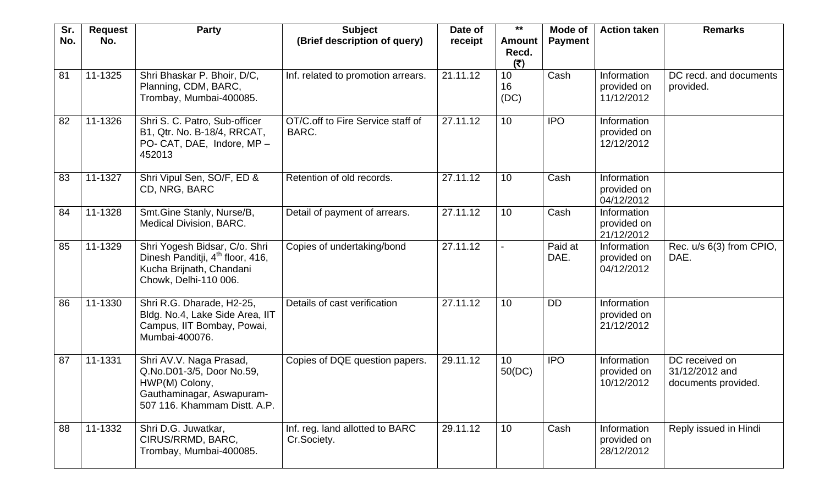| Sr. | <b>Request</b> | <b>Party</b>                                                                                                                        | <b>Subject</b>                                 | Date of  | $***$                         | <b>Mode of</b>  | <b>Action taken</b>                      | <b>Remarks</b>                                          |
|-----|----------------|-------------------------------------------------------------------------------------------------------------------------------------|------------------------------------------------|----------|-------------------------------|-----------------|------------------------------------------|---------------------------------------------------------|
| No. | No.            |                                                                                                                                     | (Brief description of query)                   | receipt  | <b>Amount</b><br>Recd.<br>(₹) | <b>Payment</b>  |                                          |                                                         |
| 81  | 11-1325        | Shri Bhaskar P. Bhoir, D/C,<br>Planning, CDM, BARC,<br>Trombay, Mumbai-400085.                                                      | Inf. related to promotion arrears.             | 21.11.12 | 10<br>16<br>(DC)              | Cash            | Information<br>provided on<br>11/12/2012 | DC recd. and documents<br>provided.                     |
| 82  | 11-1326        | Shri S. C. Patro, Sub-officer<br>B1, Qtr. No. B-18/4, RRCAT,<br>PO- CAT, DAE, Indore, MP -<br>452013                                | OT/C.off to Fire Service staff of<br>BARC.     | 27.11.12 | 10                            | <b>IPO</b>      | Information<br>provided on<br>12/12/2012 |                                                         |
| 83  | 11-1327        | Shri Vipul Sen, SO/F, ED &<br>CD, NRG, BARC                                                                                         | Retention of old records.                      | 27.11.12 | 10                            | Cash            | Information<br>provided on<br>04/12/2012 |                                                         |
| 84  | 11-1328        | Smt.Gine Stanly, Nurse/B,<br><b>Medical Division, BARC.</b>                                                                         | Detail of payment of arrears.                  | 27.11.12 | 10                            | Cash            | Information<br>provided on<br>21/12/2012 |                                                         |
| 85  | 11-1329        | Shri Yogesh Bidsar, C/o. Shri<br>Dinesh Panditji, 4 <sup>th</sup> floor, 416,<br>Kucha Brijnath, Chandani<br>Chowk, Delhi-110 006.  | Copies of undertaking/bond                     | 27.11.12 | $\blacksquare$                | Paid at<br>DAE. | Information<br>provided on<br>04/12/2012 | Rec. u/s 6(3) from CPIO,<br>DAE.                        |
| 86  | 11-1330        | Shri R.G. Dharade, H2-25,<br>Bldg. No.4, Lake Side Area, IIT<br>Campus, IIT Bombay, Powai,<br>Mumbai-400076.                        | Details of cast verification                   | 27.11.12 | 10                            | <b>DD</b>       | Information<br>provided on<br>21/12/2012 |                                                         |
| 87  | 11-1331        | Shri AV.V. Naga Prasad,<br>Q.No.D01-3/5, Door No.59,<br>HWP(M) Colony,<br>Gauthaminagar, Aswapuram-<br>507 116. Khammam Distt. A.P. | Copies of DQE question papers.                 | 29.11.12 | 10<br>50(DC)                  | <b>IPO</b>      | Information<br>provided on<br>10/12/2012 | DC received on<br>31/12/2012 and<br>documents provided. |
| 88  | 11-1332        | Shri D.G. Juwatkar,<br>CIRUS/RRMD, BARC,<br>Trombay, Mumbai-400085.                                                                 | Inf. reg. land allotted to BARC<br>Cr.Society. | 29.11.12 | 10                            | Cash            | Information<br>provided on<br>28/12/2012 | Reply issued in Hindi                                   |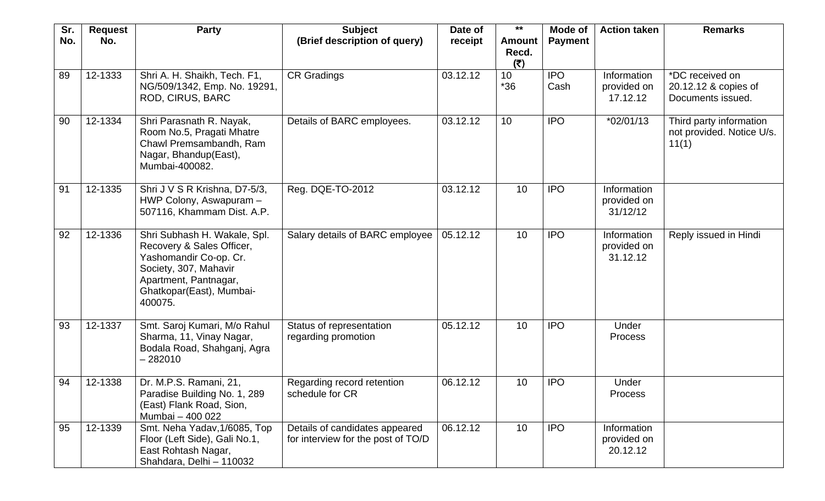| Sr.<br>No. | <b>Request</b><br>No. | <b>Party</b>                                                                                                                                                                 | <b>Subject</b><br>(Brief description of query)                       | Date of<br>receipt | $***$<br><b>Amount</b><br>Recd. | Mode of<br><b>Payment</b> | <b>Action taken</b>                    | <b>Remarks</b>                                                |
|------------|-----------------------|------------------------------------------------------------------------------------------------------------------------------------------------------------------------------|----------------------------------------------------------------------|--------------------|---------------------------------|---------------------------|----------------------------------------|---------------------------------------------------------------|
|            |                       |                                                                                                                                                                              |                                                                      |                    | (5)                             |                           |                                        |                                                               |
| 89         | 12-1333               | Shri A. H. Shaikh, Tech. F1,<br>NG/509/1342, Emp. No. 19291,<br>ROD, CIRUS, BARC                                                                                             | <b>CR Gradings</b>                                                   | 03.12.12           | 10 <sup>1</sup><br>$*36$        | <b>IPO</b><br>Cash        | Information<br>provided on<br>17.12.12 | *DC received on<br>20.12.12 & copies of<br>Documents issued.  |
| 90         | 12-1334               | Shri Parasnath R. Nayak,<br>Room No.5, Pragati Mhatre<br>Chawl Premsambandh, Ram<br>Nagar, Bhandup(East),<br>Mumbai-400082.                                                  | Details of BARC employees.                                           | 03.12.12           | 10                              | <b>IPO</b>                | $*02/01/13$                            | Third party information<br>not provided. Notice U/s.<br>11(1) |
| 91         | 12-1335               | Shri J V S R Krishna, D7-5/3,<br>HWP Colony, Aswapuram -<br>507116, Khammam Dist. A.P.                                                                                       | Reg. DQE-TO-2012                                                     | 03.12.12           | 10                              | <b>IPO</b>                | Information<br>provided on<br>31/12/12 |                                                               |
| 92         | 12-1336               | Shri Subhash H. Wakale, Spl.<br>Recovery & Sales Officer,<br>Yashomandir Co-op. Cr.<br>Society, 307, Mahavir<br>Apartment, Pantnagar,<br>Ghatkopar(East), Mumbai-<br>400075. | Salary details of BARC employee                                      | 05.12.12           | 10                              | <b>IPO</b>                | Information<br>provided on<br>31.12.12 | Reply issued in Hindi                                         |
| 93         | 12-1337               | Smt. Saroj Kumari, M/o Rahul<br>Sharma, 11, Vinay Nagar,<br>Bodala Road, Shahganj, Agra<br>$-282010$                                                                         | Status of representation<br>regarding promotion                      | 05.12.12           | 10                              | <b>IPO</b>                | Under<br><b>Process</b>                |                                                               |
| 94         | 12-1338               | Dr. M.P.S. Ramani, 21,<br>Paradise Building No. 1, 289<br>(East) Flank Road, Sion,<br>Mumbai - 400 022                                                                       | Regarding record retention<br>schedule for CR                        | 06.12.12           | 10                              | <b>IPO</b>                | Under<br>Process                       |                                                               |
| 95         | 12-1339               | Smt. Neha Yadav, 1/6085, Top<br>Floor (Left Side), Gali No.1,<br>East Rohtash Nagar,<br>Shahdara, Delhi - 110032                                                             | Details of candidates appeared<br>for interview for the post of TO/D | 06.12.12           | 10                              | <b>IPO</b>                | Information<br>provided on<br>20.12.12 |                                                               |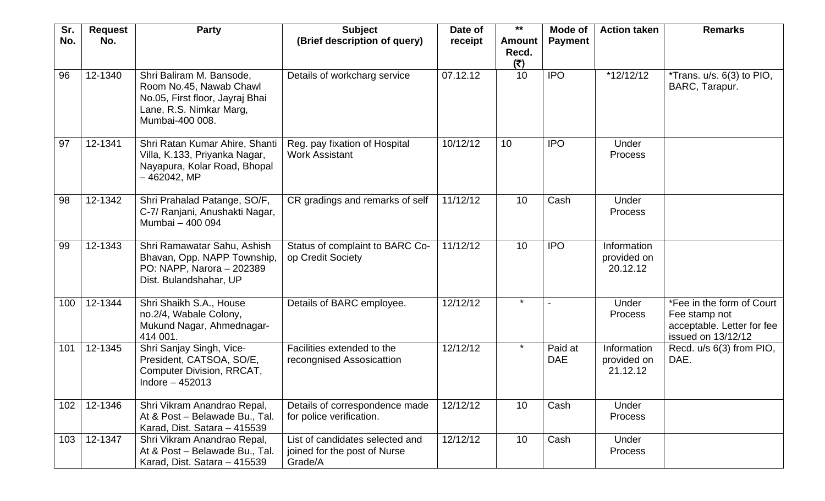| Sr. | <b>Request</b> | <b>Party</b>                                                                                                                         | <b>Subject</b>                                                             | Date of  | $***$                  | Mode of               | <b>Action taken</b>                    | <b>Remarks</b>                                                                                 |
|-----|----------------|--------------------------------------------------------------------------------------------------------------------------------------|----------------------------------------------------------------------------|----------|------------------------|-----------------------|----------------------------------------|------------------------------------------------------------------------------------------------|
| No. | No.            |                                                                                                                                      | (Brief description of query)                                               | receipt  | <b>Amount</b><br>Recd. | <b>Payment</b>        |                                        |                                                                                                |
|     |                |                                                                                                                                      |                                                                            |          | (₹)                    |                       |                                        |                                                                                                |
| 96  | 12-1340        | Shri Baliram M. Bansode,<br>Room No.45, Nawab Chawl<br>No.05, First floor, Jayraj Bhai<br>Lane, R.S. Nimkar Marg,<br>Mumbai-400 008. | Details of workcharg service                                               | 07.12.12 | 10                     | <b>IPO</b>            | $*12/12/12$                            | *Trans. $u/s. 6(3)$ to PIO,<br>BARC, Tarapur.                                                  |
| 97  | 12-1341        | Shri Ratan Kumar Ahire, Shanti<br>Villa, K.133, Priyanka Nagar,<br>Nayapura, Kolar Road, Bhopal<br>-462042, MP                       | Reg. pay fixation of Hospital<br><b>Work Assistant</b>                     | 10/12/12 | 10 <sup>°</sup>        | <b>IPO</b>            | Under<br><b>Process</b>                |                                                                                                |
| 98  | 12-1342        | Shri Prahalad Patange, SO/F,<br>C-7/ Ranjani, Anushakti Nagar,<br>Mumbai - 400 094                                                   | CR gradings and remarks of self                                            | 11/12/12 | 10                     | Cash                  | Under<br><b>Process</b>                |                                                                                                |
| 99  | 12-1343        | Shri Ramawatar Sahu, Ashish<br>Bhavan, Opp. NAPP Township,<br>PO: NAPP, Narora - 202389<br>Dist. Bulandshahar, UP                    | Status of complaint to BARC Co-<br>op Credit Society                       | 11/12/12 | 10                     | <b>IPO</b>            | Information<br>provided on<br>20.12.12 |                                                                                                |
| 100 | 12-1344        | Shri Shaikh S.A., House<br>no.2/4, Wabale Colony,<br>Mukund Nagar, Ahmednagar-<br>414 001.                                           | Details of BARC employee.                                                  | 12/12/12 | $\star$                |                       | Under<br>Process                       | *Fee in the form of Court<br>Fee stamp not<br>acceptable. Letter for fee<br>issued on 13/12/12 |
| 101 | 12-1345        | Shri Sanjay Singh, Vice-<br>President, CATSOA, SO/E,<br>Computer Division, RRCAT,<br>Indore $-452013$                                | Facilities extended to the<br>recongnised Assosicattion                    | 12/12/12 | $\star$                | Paid at<br><b>DAE</b> | Information<br>provided on<br>21.12.12 | Recd. u/s 6(3) from PIO,<br>DAE.                                                               |
| 102 | 12-1346        | Shri Vikram Anandrao Repal,<br>At & Post - Belawade Bu., Tal.<br>Karad, Dist. Satara - 415539                                        | Details of correspondence made<br>for police verification.                 | 12/12/12 | 10                     | Cash                  | Under<br><b>Process</b>                |                                                                                                |
| 103 | 12-1347        | Shri Vikram Anandrao Repal,<br>At & Post - Belawade Bu., Tal.<br>Karad, Dist. Satara - 415539                                        | List of candidates selected and<br>joined for the post of Nurse<br>Grade/A | 12/12/12 | 10                     | Cash                  | Under<br><b>Process</b>                |                                                                                                |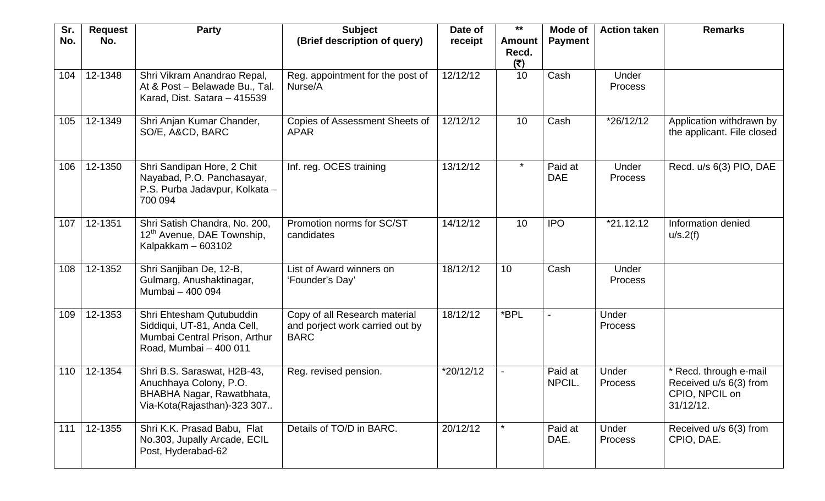| Sr.<br>No. | <b>Request</b><br>No. | <b>Party</b>                                                                                                       | <b>Subject</b><br>(Brief description of query)                                  | Date of<br>receipt | $***$<br><b>Amount</b> | Mode of<br><b>Payment</b> | <b>Action taken</b>     | <b>Remarks</b>                                                                     |
|------------|-----------------------|--------------------------------------------------------------------------------------------------------------------|---------------------------------------------------------------------------------|--------------------|------------------------|---------------------------|-------------------------|------------------------------------------------------------------------------------|
|            |                       |                                                                                                                    |                                                                                 |                    | Recd.<br>(₹)           |                           |                         |                                                                                    |
| 104        | 12-1348               | Shri Vikram Anandrao Repal,<br>At & Post - Belawade Bu., Tal.<br>Karad, Dist. Satara - 415539                      | Reg. appointment for the post of<br>Nurse/A                                     | 12/12/12           | 10                     | Cash                      | Under<br><b>Process</b> |                                                                                    |
| 105        | 12-1349               | Shri Anjan Kumar Chander,<br>SO/E, A&CD, BARC                                                                      | <b>Copies of Assessment Sheets of</b><br><b>APAR</b>                            | 12/12/12           | 10                     | Cash                      | $*26/12/12$             | Application withdrawn by<br>the applicant. File closed                             |
| 106        | 12-1350               | Shri Sandipan Hore, 2 Chit<br>Nayabad, P.O. Panchasayar,<br>P.S. Purba Jadavpur, Kolkata -<br>700 094              | Inf. reg. OCES training                                                         | 13/12/12           | $\star$                | Paid at<br><b>DAE</b>     | Under<br><b>Process</b> | Recd. u/s 6(3) PIO, DAE                                                            |
| 107        | 12-1351               | Shri Satish Chandra, No. 200,<br>12 <sup>th</sup> Avenue, DAE Township,<br>Kalpakkam - 603102                      | Promotion norms for SC/ST<br>candidates                                         | 14/12/12           | 10                     | <b>IPO</b>                | $*21.12.12$             | Information denied<br>u/s.2(f)                                                     |
| 108        | 12-1352               | Shri Sanjiban De, 12-B,<br>Gulmarg, Anushaktinagar,<br>Mumbai - 400 094                                            | List of Award winners on<br>'Founder's Day'                                     | 18/12/12           | 10                     | Cash                      | Under<br><b>Process</b> |                                                                                    |
| 109        | 12-1353               | Shri Ehtesham Qutubuddin<br>Siddiqui, UT-81, Anda Cell,<br>Mumbai Central Prison, Arthur<br>Road, Mumbai - 400 011 | Copy of all Research material<br>and porject work carried out by<br><b>BARC</b> | 18/12/12           | *BPL                   |                           | Under<br>Process        |                                                                                    |
| 110        | 12-1354               | Shri B.S. Saraswat, H2B-43,<br>Anuchhaya Colony, P.O.<br>BHABHA Nagar, Rawatbhata,<br>Via-Kota(Rajasthan)-323 307  | Reg. revised pension.                                                           | *20/12/12          |                        | Paid at<br>NPCIL.         | Under<br><b>Process</b> | * Recd. through e-mail<br>Received u/s 6(3) from<br>CPIO, NPCIL on<br>$31/12/12$ . |
| 111        | 12-1355               | Shri K.K. Prasad Babu, Flat<br>No.303, Jupally Arcade, ECIL<br>Post, Hyderabad-62                                  | Details of TO/D in BARC.                                                        | 20/12/12           | $\star$                | Paid at<br>DAE.           | Under<br>Process        | Received u/s 6(3) from<br>CPIO, DAE.                                               |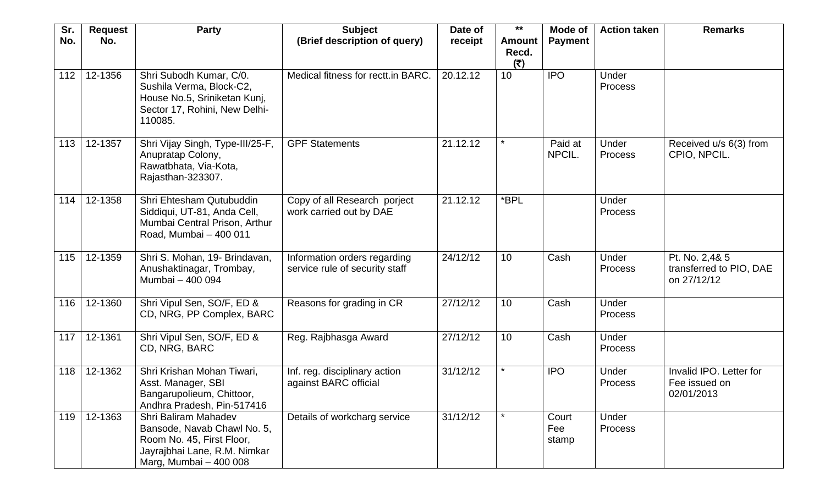| Sr.<br>No. | <b>Request</b><br>No. | <b>Party</b>                                                                                                                                      | <b>Subject</b><br>(Brief description of query)                 | Date of<br>receipt | $***$<br><b>Amount</b><br>Recd. | Mode of<br><b>Payment</b> | <b>Action taken</b>     | <b>Remarks</b>                                           |
|------------|-----------------------|---------------------------------------------------------------------------------------------------------------------------------------------------|----------------------------------------------------------------|--------------------|---------------------------------|---------------------------|-------------------------|----------------------------------------------------------|
| 112        | 12-1356               | Shri Subodh Kumar, C/0.<br>Sushila Verma, Block-C2,<br>House No.5, Sriniketan Kunj,<br>Sector 17, Rohini, New Delhi-<br>110085.                   | Medical fitness for rectt.in BARC.                             | 20.12.12           | (₹)<br>10                       | <b>IPO</b>                | Under<br>Process        |                                                          |
| 113        | 12-1357               | Shri Vijay Singh, Type-III/25-F,<br>Anupratap Colony,<br>Rawatbhata, Via-Kota,<br>Rajasthan-323307.                                               | <b>GPF Statements</b>                                          | 21.12.12           | $\star$                         | Paid at<br>NPCIL.         | Under<br><b>Process</b> | Received u/s 6(3) from<br>CPIO, NPCIL.                   |
| 114        | 12-1358               | Shri Ehtesham Qutubuddin<br>Siddiqui, UT-81, Anda Cell,<br>Mumbai Central Prison, Arthur<br>Road, Mumbai - 400 011                                | Copy of all Research porject<br>work carried out by DAE        | 21.12.12           | *BPL                            |                           | Under<br><b>Process</b> |                                                          |
| 115        | 12-1359               | Shri S. Mohan, 19- Brindavan,<br>Anushaktinagar, Trombay,<br>Mumbai - 400 094                                                                     | Information orders regarding<br>service rule of security staff | 24/12/12           | 10                              | Cash                      | Under<br><b>Process</b> | Pt. No. 2,4& 5<br>transferred to PIO, DAE<br>on 27/12/12 |
| 116        | 12-1360               | Shri Vipul Sen, SO/F, ED &<br>CD, NRG, PP Complex, BARC                                                                                           | Reasons for grading in CR                                      | 27/12/12           | 10                              | Cash                      | Under<br><b>Process</b> |                                                          |
| 117        | 12-1361               | Shri Vipul Sen, SO/F, ED &<br>CD, NRG, BARC                                                                                                       | Reg. Rajbhasga Award                                           | 27/12/12           | 10                              | Cash                      | Under<br><b>Process</b> |                                                          |
| 118        | 12-1362               | Shri Krishan Mohan Tiwari,<br>Asst. Manager, SBI<br>Bangarupolieum, Chittoor,<br>Andhra Pradesh, Pin-517416                                       | Inf. reg. disciplinary action<br>against BARC official         | 31/12/12           | $\star$                         | <b>IPO</b>                | Under<br>Process        | Invalid IPO. Letter for<br>Fee issued on<br>02/01/2013   |
| 119        | 12-1363               | <b>Shri Baliram Mahadev</b><br>Bansode, Navab Chawl No. 5,<br>Room No. 45, First Floor,<br>Jayrajbhai Lane, R.M. Nimkar<br>Marg, Mumbai - 400 008 | Details of workcharg service                                   | 31/12/12           |                                 | Court<br>Fee<br>stamp     | Under<br>Process        |                                                          |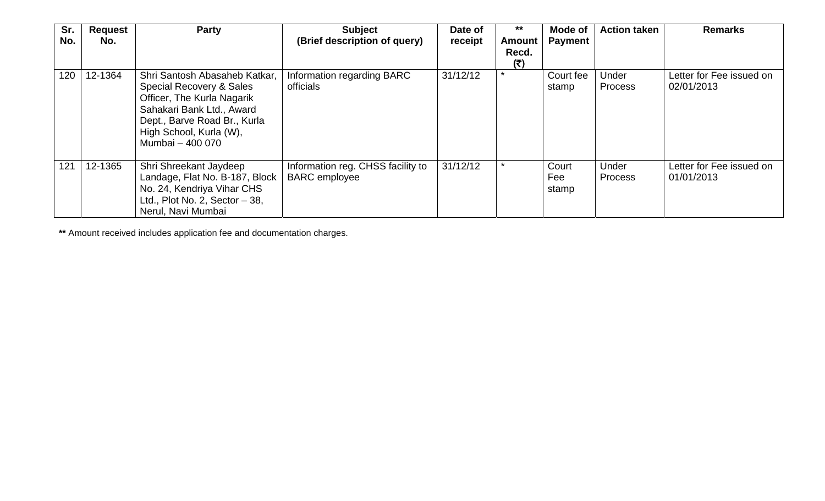| Sr. | <b>Request</b> | <b>Party</b>                                                                                                                                                                                        | <b>Subject</b>                                            | Date of  | $***$                  | Mode of               | <b>Action taken</b> | <b>Remarks</b>                         |
|-----|----------------|-----------------------------------------------------------------------------------------------------------------------------------------------------------------------------------------------------|-----------------------------------------------------------|----------|------------------------|-----------------------|---------------------|----------------------------------------|
| No. | No.            |                                                                                                                                                                                                     | (Brief description of query)                              | receipt  | Amount<br>Recd.<br>(₹) | <b>Payment</b>        |                     |                                        |
| 120 | 12-1364        | Shri Santosh Abasaheb Katkar,<br>Special Recovery & Sales<br>Officer, The Kurla Nagarik<br>Sahakari Bank Ltd., Award<br>Dept., Barve Road Br., Kurla<br>High School, Kurla (W),<br>Mumbai - 400 070 | Information regarding BARC<br>officials                   | 31/12/12 | $\star$                | Court fee<br>stamp    | Under<br>Process    | Letter for Fee issued on<br>02/01/2013 |
| 121 | 12-1365        | Shri Shreekant Jaydeep<br>Landage, Flat No. B-187, Block<br>No. 24, Kendriya Vihar CHS<br>Ltd., Plot No. 2, Sector $-38$ ,<br>Nerul, Navi Mumbai                                                    | Information reg. CHSS facility to<br><b>BARC</b> employee | 31/12/12 | $\star$                | Court<br>Fee<br>stamp | Under<br>Process    | Letter for Fee issued on<br>01/01/2013 |

**\*\*** Amount received includes application fee and documentation charges.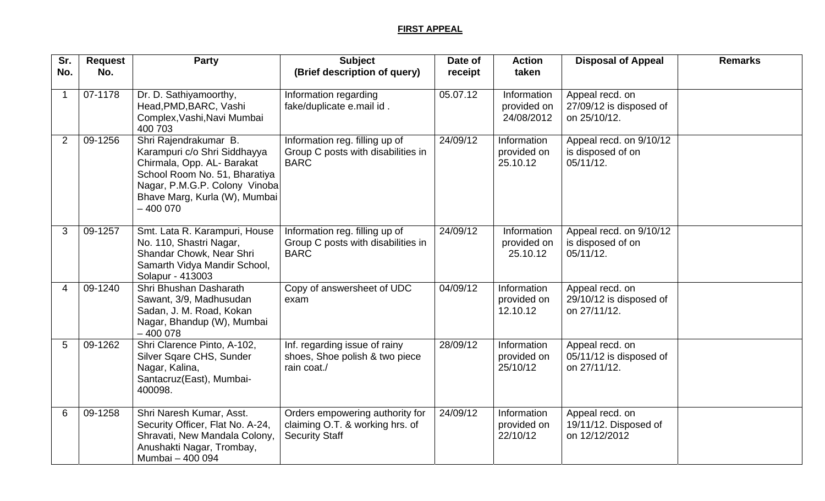## **FIRST APPEAL**

| Sr.                    | <b>Request</b> | Party                                                                                                                                                                                                | <b>Subject</b>                                                                              | Date of  | <b>Action</b>                            | <b>Disposal of Appeal</b>                                  | <b>Remarks</b> |
|------------------------|----------------|------------------------------------------------------------------------------------------------------------------------------------------------------------------------------------------------------|---------------------------------------------------------------------------------------------|----------|------------------------------------------|------------------------------------------------------------|----------------|
| No.                    | No.            |                                                                                                                                                                                                      | (Brief description of query)                                                                | receipt  | taken                                    |                                                            |                |
|                        | 07-1178        | Dr. D. Sathiyamoorthy,<br>Head, PMD, BARC, Vashi<br>Complex, Vashi, Navi Mumbai<br>400 703                                                                                                           | Information regarding<br>fake/duplicate e.mail id.                                          | 05.07.12 | Information<br>provided on<br>24/08/2012 | Appeal recd. on<br>27/09/12 is disposed of<br>on 25/10/12. |                |
| 2                      | 09-1256        | Shri Rajendrakumar B.<br>Karampuri c/o Shri Siddhayya<br>Chirmala, Opp. AL- Barakat<br>School Room No. 51, Bharatiya<br>Nagar, P.M.G.P. Colony Vinoba<br>Bhave Marg, Kurla (W), Mumbai<br>$-4000070$ | Information reg. filling up of<br>Group C posts with disabilities in<br><b>BARC</b>         | 24/09/12 | Information<br>provided on<br>25.10.12   | Appeal recd. on 9/10/12<br>is disposed of on<br>05/11/12.  |                |
| 3                      | 09-1257        | Smt. Lata R. Karampuri, House<br>No. 110, Shastri Nagar,<br>Shandar Chowk, Near Shri<br>Samarth Vidya Mandir School,<br>Solapur - 413003                                                             | Information reg. filling up of<br>Group C posts with disabilities in<br><b>BARC</b>         | 24/09/12 | Information<br>provided on<br>25.10.12   | Appeal recd. on 9/10/12<br>is disposed of on<br>05/11/12.  |                |
| $\boldsymbol{\Lambda}$ | 09-1240        | Shri Bhushan Dasharath<br>Sawant, 3/9, Madhusudan<br>Sadan, J. M. Road, Kokan<br>Nagar, Bhandup (W), Mumbai<br>$-400078$                                                                             | Copy of answersheet of UDC<br>exam                                                          | 04/09/12 | Information<br>provided on<br>12.10.12   | Appeal recd. on<br>29/10/12 is disposed of<br>on 27/11/12. |                |
| 5                      | 09-1262        | Shri Clarence Pinto, A-102,<br>Silver Sqare CHS, Sunder<br>Nagar, Kalina,<br>Santacruz(East), Mumbai-<br>400098.                                                                                     | Inf. regarding issue of rainy<br>shoes, Shoe polish & two piece<br>rain coat./              | 28/09/12 | Information<br>provided on<br>25/10/12   | Appeal recd. on<br>05/11/12 is disposed of<br>on 27/11/12. |                |
| 6                      | 09-1258        | Shri Naresh Kumar, Asst.<br>Security Officer, Flat No. A-24,<br>Shravati, New Mandala Colony,<br>Anushakti Nagar, Trombay,<br>Mumbai - 400 094                                                       | Orders empowering authority for<br>claiming O.T. & working hrs. of<br><b>Security Staff</b> | 24/09/12 | Information<br>provided on<br>22/10/12   | Appeal recd. on<br>19/11/12. Disposed of<br>on 12/12/2012  |                |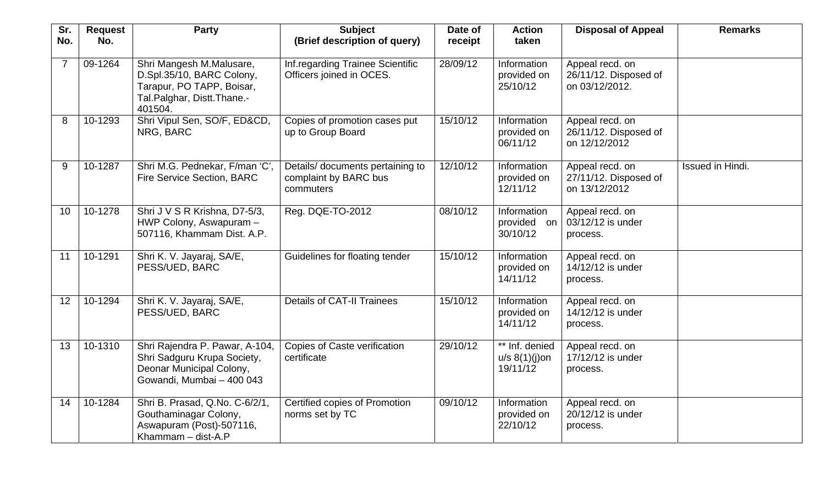| Sr.<br>No.     | <b>Request</b><br>No. | <b>Party</b>                                                                                                                | <b>Subject</b><br>(Brief description of query)                         | Date of  | <b>Action</b><br>taken                         | <b>Disposal of Appeal</b>                                  | <b>Remarks</b>   |
|----------------|-----------------------|-----------------------------------------------------------------------------------------------------------------------------|------------------------------------------------------------------------|----------|------------------------------------------------|------------------------------------------------------------|------------------|
|                |                       |                                                                                                                             |                                                                        | receipt  |                                                |                                                            |                  |
| $\overline{7}$ | 09-1264               | Shri Mangesh M.Malusare,<br>D.Spl.35/10, BARC Colony,<br>Tarapur, PO TAPP, Boisar,<br>Tal.Palghar, Distt.Thane.-<br>401504. | Inf.regarding Trainee Scientific<br>Officers joined in OCES.           | 28/09/12 | Information<br>provided on<br>25/10/12         | Appeal recd. on<br>26/11/12. Disposed of<br>on 03/12/2012. |                  |
| 8              | 10-1293               | Shri Vipul Sen, SO/F, ED&CD,<br>NRG, BARC                                                                                   | Copies of promotion cases put<br>up to Group Board                     | 15/10/12 | Information<br>provided on<br>06/11/12         | Appeal recd. on<br>26/11/12. Disposed of<br>on 12/12/2012  |                  |
| 9              | 10-1287               | Shri M.G. Pednekar, F/man 'C',<br>Fire Service Section, BARC                                                                | Details/ documents pertaining to<br>complaint by BARC bus<br>commuters | 12/10/12 | Information<br>provided on<br>12/11/12         | Appeal recd. on<br>27/11/12. Disposed of<br>on 13/12/2012  | Issued in Hindi. |
| 10             | 10-1278               | Shri J V S R Krishna, D7-5/3,<br>HWP Colony, Aswapuram -<br>507116, Khammam Dist. A.P.                                      | Reg. DQE-TO-2012                                                       | 08/10/12 | Information<br>provided on<br>30/10/12         | Appeal recd. on<br>03/12/12 is under<br>process.           |                  |
| 11             | 10-1291               | Shri K. V. Jayaraj, SA/E,<br>PESS/UED, BARC                                                                                 | Guidelines for floating tender                                         | 15/10/12 | Information<br>provided on<br>14/11/12         | Appeal recd. on<br>14/12/12 is under<br>process.           |                  |
| 12             | 10-1294               | Shri K. V. Jayaraj, SA/E,<br>PESS/UED, BARC                                                                                 | <b>Details of CAT-II Trainees</b>                                      | 15/10/12 | Information<br>provided on<br>14/11/12         | Appeal recd. on<br>14/12/12 is under<br>process.           |                  |
| 13             | 10-1310               | Shri Rajendra P. Pawar, A-104,<br>Shri Sadguru Krupa Society,<br>Deonar Municipal Colony,<br>Gowandi, Mumbai - 400 043      | <b>Copies of Caste verification</b><br>certificate                     | 29/10/12 | ** Inf. denied<br>$u/s 8(1)(j)$ on<br>19/11/12 | Appeal recd. on<br>17/12/12 is under<br>process.           |                  |
| 14             | 10-1284               | Shri B. Prasad, Q.No. C-6/2/1,<br>Gouthaminagar Colony,<br>Aswapuram (Post)-507116,<br>Khammam $-$ dist-A.P                 | Certified copies of Promotion<br>norms set by TC                       | 09/10/12 | Information<br>provided on<br>22/10/12         | Appeal recd. on<br>20/12/12 is under<br>process.           |                  |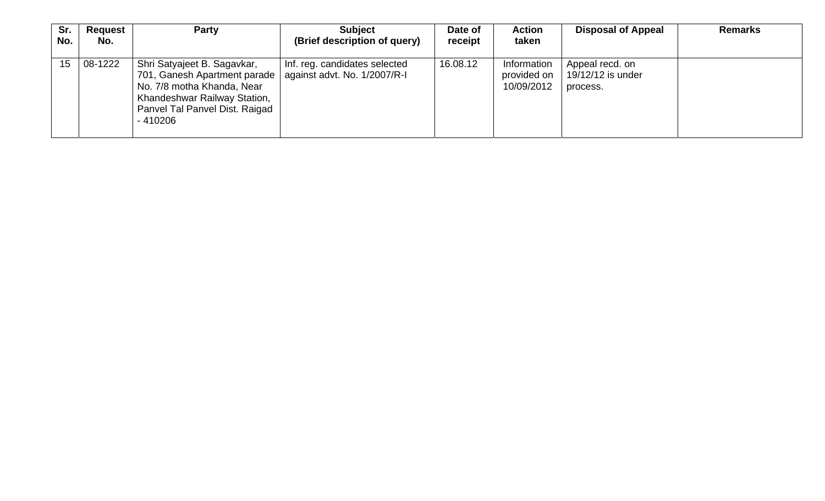| Sr.<br>No. | Request<br>No.    | <b>Party</b>                                                                                                                                                             | <b>Subject</b><br>(Brief description of query)                | Date of<br>receipt | <b>Action</b><br>taken                   | <b>Disposal of Appeal</b>                        | <b>Remarks</b> |
|------------|-------------------|--------------------------------------------------------------------------------------------------------------------------------------------------------------------------|---------------------------------------------------------------|--------------------|------------------------------------------|--------------------------------------------------|----------------|
|            | 08-1222<br>$15-1$ | Shri Satyajeet B. Sagavkar,<br>701, Ganesh Apartment parade<br>No. 7/8 motha Khanda, Near<br>Khandeshwar Railway Station,<br>Panvel Tal Panvel Dist. Raigad<br>$-410206$ | Inf. reg. candidates selected<br>against advt. No. 1/2007/R-I | 16.08.12           | Information<br>provided on<br>10/09/2012 | Appeal recd. on<br>19/12/12 is under<br>process. |                |